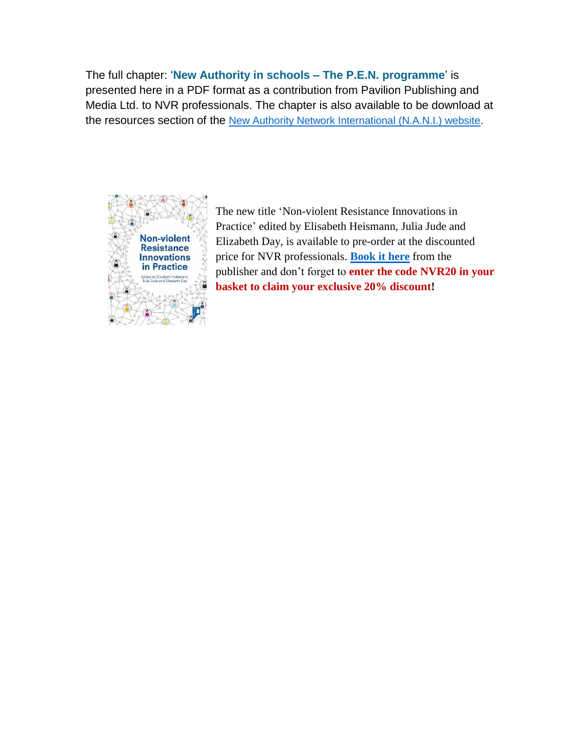The full chapter: '**New Authority in schools – The P.E.N. programme**' is presented here in a PDF format as a contribution from Pavilion Publishing and Media Ltd. to NVR professionals. The chapter is also available to be download at the resources section of the [New Authority Network International \(N.A.N.I.\) website.](http://www.newauthority.net/resources/articles.aspx)



The new title 'Non-violent Resistance Innovations in Practice' edited by Elisabeth Heismann, Julia Jude and Elizabeth Day, is available to pre-order at the discounted price for NVR professionals. **[Book it here](https://www.pavpub.com/non-violent-resistance-innovations-in-practice/)** from the publisher and don't forget to **enter the code NVR20 in your basket to claim your exclusive 20% discount!**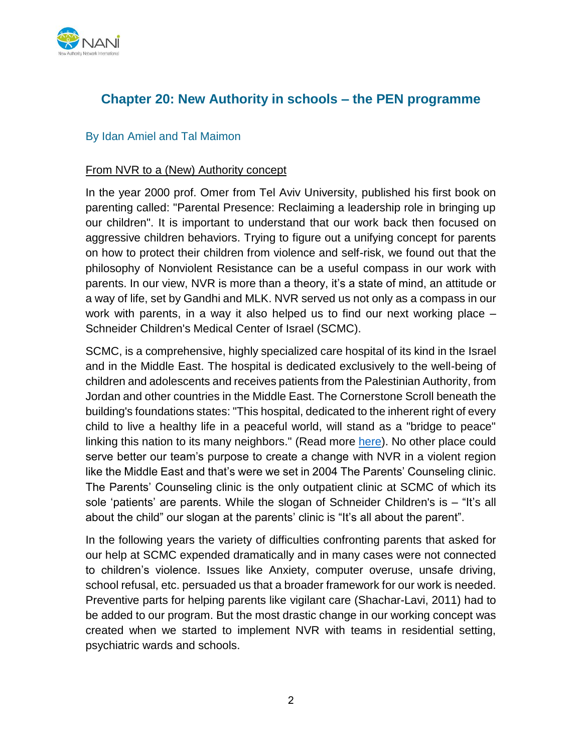

# **Chapter 20: New Authority in schools – the PEN programme**

### By Idan Amiel and Tal Maimon

#### From NVR to a (New) Authority concept

In the year 2000 prof. Omer from Tel Aviv University, published his first book on parenting called: "Parental Presence: Reclaiming a leadership role in bringing up our children". It is important to understand that our work back then focused on aggressive children behaviors. Trying to figure out a unifying concept for parents on how to protect their children from violence and self-risk, we found out that the philosophy of Nonviolent Resistance can be a useful compass in our work with parents. In our view, NVR is more than a theory, it's a state of mind, an attitude or a way of life, set by Gandhi and MLK. NVR served us not only as a compass in our work with parents, in a way it also helped us to find our next working place – Schneider Children's Medical Center of Israel (SCMC).

SCMC, is a comprehensive, highly specialized care hospital of its kind in the Israel and in the Middle East. The hospital is dedicated exclusively to the well-being of children and adolescents and receives patients from the Palestinian Authority, from Jordan and other countries in the Middle East. The Cornerstone Scroll beneath the building's foundations states: "This hospital, dedicated to the inherent right of every child to live a healthy life in a peaceful world, will stand as a "bridge to peace" linking this nation to its many neighbors." (Read more [here\)](http://www.schneider.org.il/Eng). No other place could serve better our team's purpose to create a change with NVR in a violent region like the Middle East and that's were we set in 2004 The Parents' Counseling clinic. The Parents' Counseling clinic is the only outpatient clinic at SCMC of which its sole 'patients' are parents. While the slogan of Schneider Children's is – "It's all about the child" our slogan at the parents' clinic is "It's all about the parent".

In the following years the variety of difficulties confronting parents that asked for our help at SCMC expended dramatically and in many cases were not connected to children's violence. Issues like Anxiety, computer overuse, unsafe driving, school refusal, etc. persuaded us that a broader framework for our work is needed. Preventive parts for helping parents like vigilant care (Shachar-Lavi, 2011) had to be added to our program. But the most drastic change in our working concept was created when we started to implement NVR with teams in residential setting, psychiatric wards and schools.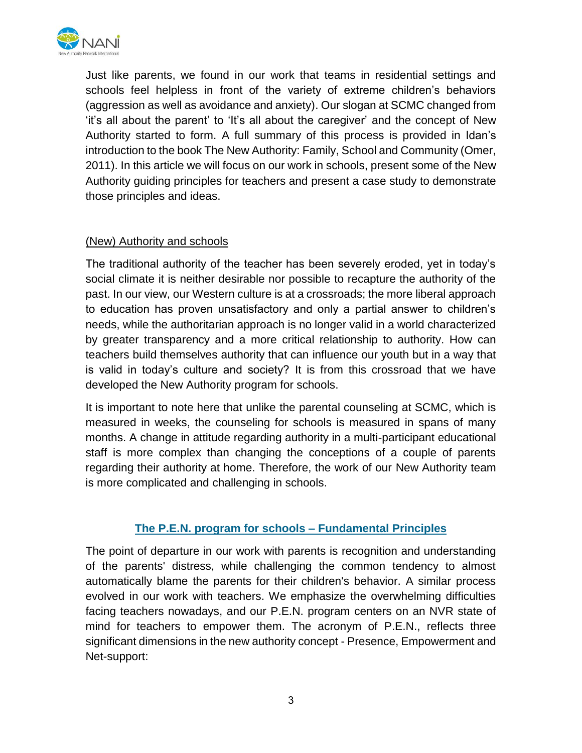

Just like parents, we found in our work that teams in residential settings and schools feel helpless in front of the variety of extreme children's behaviors (aggression as well as avoidance and anxiety). Our slogan at SCMC changed from 'it's all about the parent' to 'It's all about the caregiver' and the concept of New Authority started to form. A full summary of this process is provided in Idan's introduction to the book The New Authority: Family, School and Community (Omer, 2011). In this article we will focus on our work in schools, present some of the New Authority guiding principles for teachers and present a case study to demonstrate those principles and ideas.

## (New) Authority and schools

The traditional authority of the teacher has been severely eroded, yet in today's social climate it is neither desirable nor possible to recapture the authority of the past. In our view, our Western culture is at a crossroads; the more liberal approach to education has proven unsatisfactory and only a partial answer to children's needs, while the authoritarian approach is no longer valid in a world characterized by greater transparency and a more critical relationship to authority. How can teachers build themselves authority that can influence our youth but in a way that is valid in today's culture and society? It is from this crossroad that we have developed the New Authority program for schools.

It is important to note here that unlike the parental counseling at SCMC, which is measured in weeks, the counseling for schools is measured in spans of many months. A change in attitude regarding authority in a multi-participant educational staff is more complex than changing the conceptions of a couple of parents regarding their authority at home. Therefore, the work of our New Authority team is more complicated and challenging in schools.

## **The P.E.N. program for schools – Fundamental Principles**

The point of departure in our work with parents is recognition and understanding of the parents' distress, while challenging the common tendency to almost automatically blame the parents for their children's behavior. A similar process evolved in our work with teachers. We emphasize the overwhelming difficulties facing teachers nowadays, and our P.E.N. program centers on an NVR state of mind for teachers to empower them. The acronym of P.E.N., reflects three significant dimensions in the new authority concept - Presence, Empowerment and Net-support: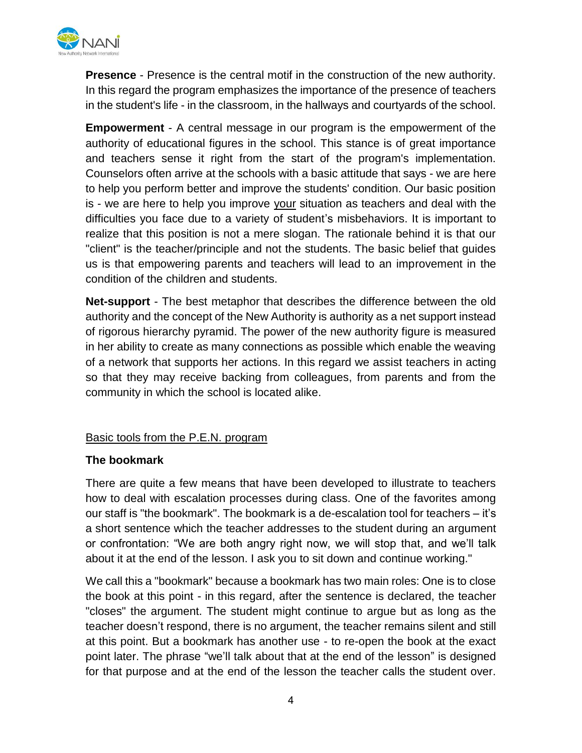

**Presence** - Presence is the central motif in the construction of the new authority. In this regard the program emphasizes the importance of the presence of teachers in the student's life - in the classroom, in the hallways and courtyards of the school.

**Empowerment** - A central message in our program is the empowerment of the authority of educational figures in the school. This stance is of great importance and teachers sense it right from the start of the program's implementation. Counselors often arrive at the schools with a basic attitude that says - we are here to help you perform better and improve the students' condition. Our basic position is - we are here to help you improve your situation as teachers and deal with the difficulties you face due to a variety of student's misbehaviors. It is important to realize that this position is not a mere slogan. The rationale behind it is that our "client" is the teacher/principle and not the students. The basic belief that guides us is that empowering parents and teachers will lead to an improvement in the condition of the children and students.

**Net-support** - The best metaphor that describes the difference between the old authority and the concept of the New Authority is authority as a net support instead of rigorous hierarchy pyramid. The power of the new authority figure is measured in her ability to create as many connections as possible which enable the weaving of a network that supports her actions. In this regard we assist teachers in acting so that they may receive backing from colleagues, from parents and from the community in which the school is located alike.

## Basic tools from the P.E.N. program

## **The bookmark**

There are quite a few means that have been developed to illustrate to teachers how to deal with escalation processes during class. One of the favorites among our staff is "the bookmark". The bookmark is a de-escalation tool for teachers – it's a short sentence which the teacher addresses to the student during an argument or confrontation: "We are both angry right now, we will stop that, and we'll talk about it at the end of the lesson. I ask you to sit down and continue working."

We call this a "bookmark" because a bookmark has two main roles: One is to close the book at this point - in this regard, after the sentence is declared, the teacher "closes" the argument. The student might continue to argue but as long as the teacher doesn't respond, there is no argument, the teacher remains silent and still at this point. But a bookmark has another use - to re-open the book at the exact point later. The phrase "we'll talk about that at the end of the lesson" is designed for that purpose and at the end of the lesson the teacher calls the student over.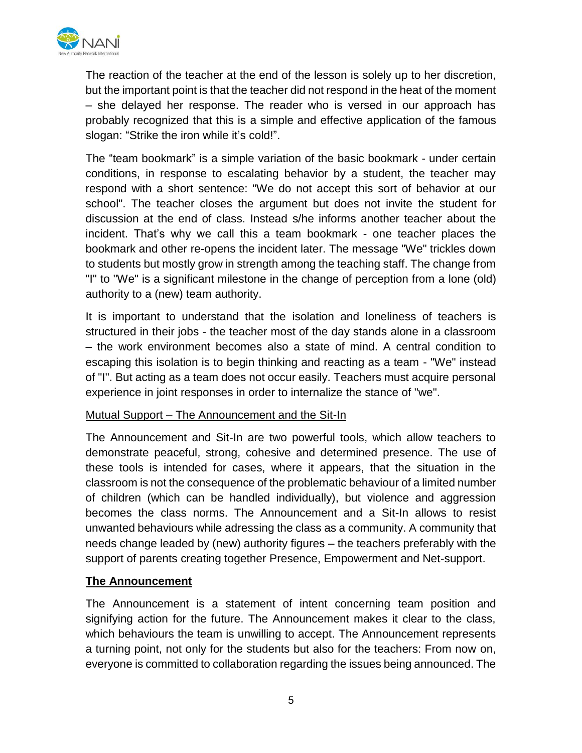

The reaction of the teacher at the end of the lesson is solely up to her discretion, but the important point is that the teacher did not respond in the heat of the moment – she delayed her response. The reader who is versed in our approach has probably recognized that this is a simple and effective application of the famous slogan: "Strike the iron while it's cold!".

The "team bookmark" is a simple variation of the basic bookmark - under certain conditions, in response to escalating behavior by a student, the teacher may respond with a short sentence: "We do not accept this sort of behavior at our school". The teacher closes the argument but does not invite the student for discussion at the end of class. Instead s/he informs another teacher about the incident. That's why we call this a team bookmark - one teacher places the bookmark and other re-opens the incident later. The message "We" trickles down to students but mostly grow in strength among the teaching staff. The change from "I" to "We" is a significant milestone in the change of perception from a lone (old) authority to a (new) team authority.

It is important to understand that the isolation and loneliness of teachers is structured in their jobs - the teacher most of the day stands alone in a classroom – the work environment becomes also a state of mind. A central condition to escaping this isolation is to begin thinking and reacting as a team - "We" instead of "I". But acting as a team does not occur easily. Teachers must acquire personal experience in joint responses in order to internalize the stance of "we".

### Mutual Support – The Announcement and the Sit-In

The Announcement and Sit-In are two powerful tools, which allow teachers to demonstrate peaceful, strong, cohesive and determined presence. The use of these tools is intended for cases, where it appears, that the situation in the classroom is not the consequence of the problematic behaviour of a limited number of children (which can be handled individually), but violence and aggression becomes the class norms. The Announcement and a Sit-In allows to resist unwanted behaviours while adressing the class as a community. A community that needs change leaded by (new) authority figures – the teachers preferably with the support of parents creating together Presence, Empowerment and Net-support.

### **The Announcement**

The Announcement is a statement of intent concerning team position and signifying action for the future. The Announcement makes it clear to the class, which behaviours the team is unwilling to accept. The Announcement represents a turning point, not only for the students but also for the teachers: From now on, everyone is committed to collaboration regarding the issues being announced. The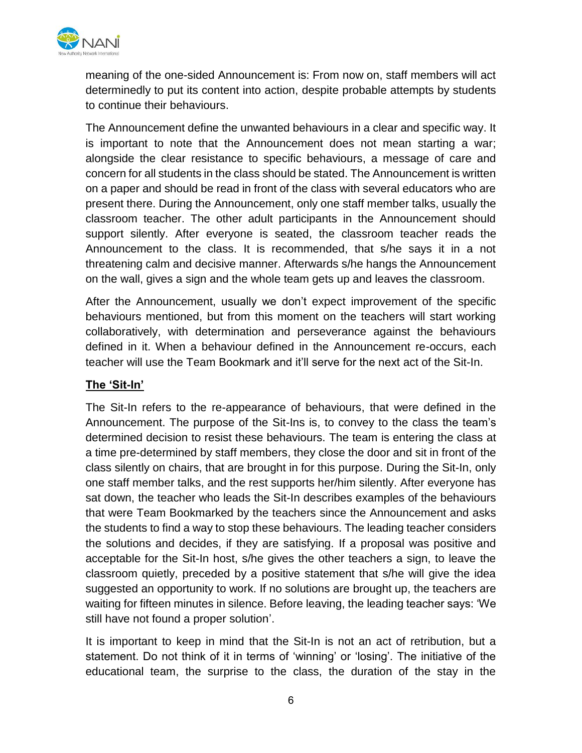

meaning of the one-sided Announcement is: From now on, staff members will act determinedly to put its content into action, despite probable attempts by students to continue their behaviours.

The Announcement define the unwanted behaviours in a clear and specific way. It is important to note that the Announcement does not mean starting a war; alongside the clear resistance to specific behaviours, a message of care and concern for all students in the class should be stated. The Announcement is written on a paper and should be read in front of the class with several educators who are present there. During the Announcement, only one staff member talks, usually the classroom teacher. The other adult participants in the Announcement should support silently. After everyone is seated, the classroom teacher reads the Announcement to the class. It is recommended, that s/he says it in a not threatening calm and decisive manner. Afterwards s/he hangs the Announcement on the wall, gives a sign and the whole team gets up and leaves the classroom.

After the Announcement, usually we don't expect improvement of the specific behaviours mentioned, but from this moment on the teachers will start working collaboratively, with determination and perseverance against the behaviours defined in it. When a behaviour defined in the Announcement re-occurs, each teacher will use the Team Bookmark and it'll serve for the next act of the Sit-In.

## **The 'Sit-In'**

The Sit-In refers to the re-appearance of behaviours, that were defined in the Announcement. The purpose of the Sit-Ins is, to convey to the class the team's determined decision to resist these behaviours. The team is entering the class at a time pre-determined by staff members, they close the door and sit in front of the class silently on chairs, that are brought in for this purpose. During the Sit-In, only one staff member talks, and the rest supports her/him silently. After everyone has sat down, the teacher who leads the Sit-In describes examples of the behaviours that were Team Bookmarked by the teachers since the Announcement and asks the students to find a way to stop these behaviours. The leading teacher considers the solutions and decides, if they are satisfying. If a proposal was positive and acceptable for the Sit-In host, s/he gives the other teachers a sign, to leave the classroom quietly, preceded by a positive statement that s/he will give the idea suggested an opportunity to work. If no solutions are brought up, the teachers are waiting for fifteen minutes in silence. Before leaving, the leading teacher says: 'We still have not found a proper solution'.

It is important to keep in mind that the Sit-In is not an act of retribution, but a statement. Do not think of it in terms of 'winning' or 'losing'. The initiative of the educational team, the surprise to the class, the duration of the stay in the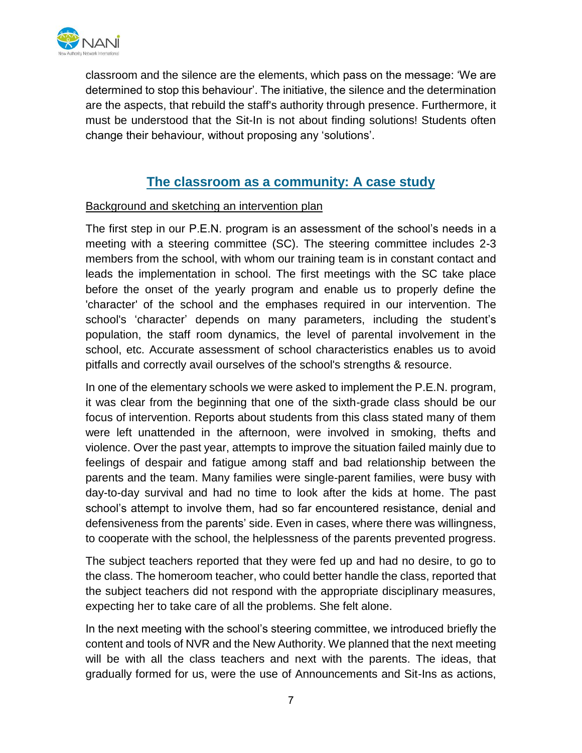

classroom and the silence are the elements, which pass on the message: 'We are determined to stop this behaviour'. The initiative, the silence and the determination are the aspects, that rebuild the staff's authority through presence. Furthermore, it must be understood that the Sit-In is not about finding solutions! Students often change their behaviour, without proposing any 'solutions'.

# **The classroom as a community: A case study**

## Background and sketching an intervention plan

The first step in our P.E.N. program is an assessment of the school's needs in a meeting with a steering committee (SC). The steering committee includes 2-3 members from the school, with whom our training team is in constant contact and leads the implementation in school. The first meetings with the SC take place before the onset of the yearly program and enable us to properly define the 'character' of the school and the emphases required in our intervention. The school's 'character' depends on many parameters, including the student's population, the staff room dynamics, the level of parental involvement in the school, etc. Accurate assessment of school characteristics enables us to avoid pitfalls and correctly avail ourselves of the school's strengths & resource.

In one of the elementary schools we were asked to implement the P.E.N. program, it was clear from the beginning that one of the sixth-grade class should be our focus of intervention. Reports about students from this class stated many of them were left unattended in the afternoon, were involved in smoking, thefts and violence. Over the past year, attempts to improve the situation failed mainly due to feelings of despair and fatigue among staff and bad relationship between the parents and the team. Many families were single-parent families, were busy with day-to-day survival and had no time to look after the kids at home. The past school's attempt to involve them, had so far encountered resistance, denial and defensiveness from the parents' side. Even in cases, where there was willingness, to cooperate with the school, the helplessness of the parents prevented progress.

The subject teachers reported that they were fed up and had no desire, to go to the class. The homeroom teacher, who could better handle the class, reported that the subject teachers did not respond with the appropriate disciplinary measures, expecting her to take care of all the problems. She felt alone.

In the next meeting with the school's steering committee, we introduced briefly the content and tools of NVR and the New Authority. We planned that the next meeting will be with all the class teachers and next with the parents. The ideas, that gradually formed for us, were the use of Announcements and Sit-Ins as actions,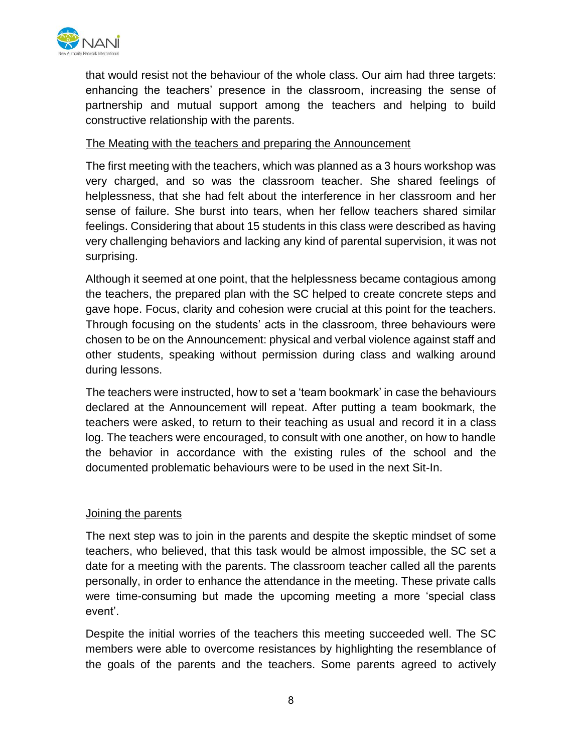

that would resist not the behaviour of the whole class. Our aim had three targets: enhancing the teachers' presence in the classroom, increasing the sense of partnership and mutual support among the teachers and helping to build constructive relationship with the parents.

## The Meating with the teachers and preparing the Announcement

The first meeting with the teachers, which was planned as a 3 hours workshop was very charged, and so was the classroom teacher. She shared feelings of helplessness, that she had felt about the interference in her classroom and her sense of failure. She burst into tears, when her fellow teachers shared similar feelings. Considering that about 15 students in this class were described as having very challenging behaviors and lacking any kind of parental supervision, it was not surprising.

Although it seemed at one point, that the helplessness became contagious among the teachers, the prepared plan with the SC helped to create concrete steps and gave hope. Focus, clarity and cohesion were crucial at this point for the teachers. Through focusing on the students' acts in the classroom, three behaviours were chosen to be on the Announcement: physical and verbal violence against staff and other students, speaking without permission during class and walking around during lessons.

The teachers were instructed, how to set a 'team bookmark' in case the behaviours declared at the Announcement will repeat. After putting a team bookmark, the teachers were asked, to return to their teaching as usual and record it in a class log. The teachers were encouraged, to consult with one another, on how to handle the behavior in accordance with the existing rules of the school and the documented problematic behaviours were to be used in the next Sit-In.

### Joining the parents

The next step was to join in the parents and despite the skeptic mindset of some teachers, who believed, that this task would be almost impossible, the SC set a date for a meeting with the parents. The classroom teacher called all the parents personally, in order to enhance the attendance in the meeting. These private calls were time-consuming but made the upcoming meeting a more 'special class event'.

Despite the initial worries of the teachers this meeting succeeded well. The SC members were able to overcome resistances by highlighting the resemblance of the goals of the parents and the teachers. Some parents agreed to actively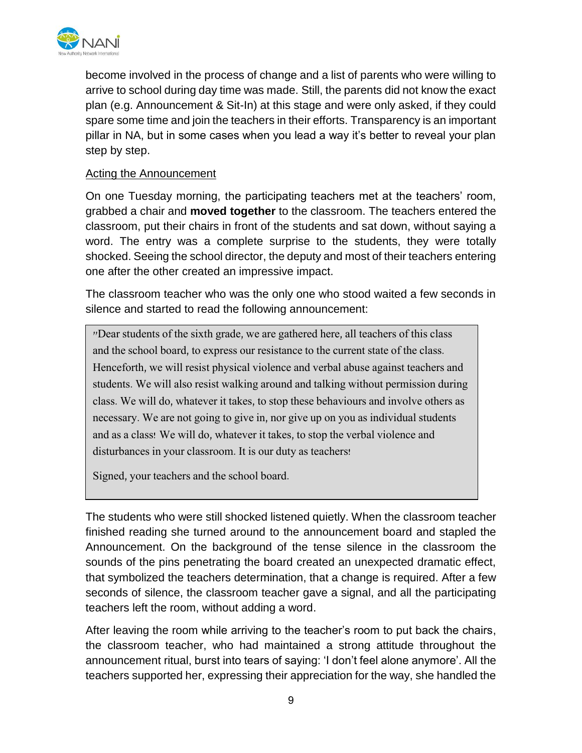

become involved in the process of change and a list of parents who were willing to arrive to school during day time was made. Still, the parents did not know the exact plan (e.g. Announcement & Sit-In) at this stage and were only asked, if they could spare some time and join the teachers in their efforts. Transparency is an important pillar in NA, but in some cases when you lead a way it's better to reveal your plan step by step.

## Acting the Announcement

On one Tuesday morning, the participating teachers met at the teachers' room, grabbed a chair and **moved together** to the classroom. The teachers entered the classroom, put their chairs in front of the students and sat down, without saying a word. The entry was a complete surprise to the students, they were totally shocked. Seeing the school director, the deputy and most of their teachers entering one after the other created an impressive impact.

The classroom teacher who was the only one who stood waited a few seconds in silence and started to read the following announcement:

"Dear students of the sixth grade, we are gathered here, all teachers of this class and the school board, to express our resistance to the current state of the class. Henceforth, we will resist physical violence and verbal abuse against teachers and students. We will also resist walking around and talking without permission during class. We will do, whatever it takes, to stop these behaviours and involve others as necessary. We are not going to give in, nor give up on you as individual students and as a class! We will do, whatever it takes, to stop the verbal violence and disturbances in your classroom. It is our duty as teachers!

Signed, your teachers and the school board.

The students who were still shocked listened quietly. When the classroom teacher finished reading she turned around to the announcement board and stapled the Announcement. On the background of the tense silence in the classroom the sounds of the pins penetrating the board created an unexpected dramatic effect, that symbolized the teachers determination, that a change is required. After a few seconds of silence, the classroom teacher gave a signal, and all the participating teachers left the room, without adding a word.

After leaving the room while arriving to the teacher's room to put back the chairs, the classroom teacher, who had maintained a strong attitude throughout the announcement ritual, burst into tears of saying: 'I don't feel alone anymore'. All the teachers supported her, expressing their appreciation for the way, she handled the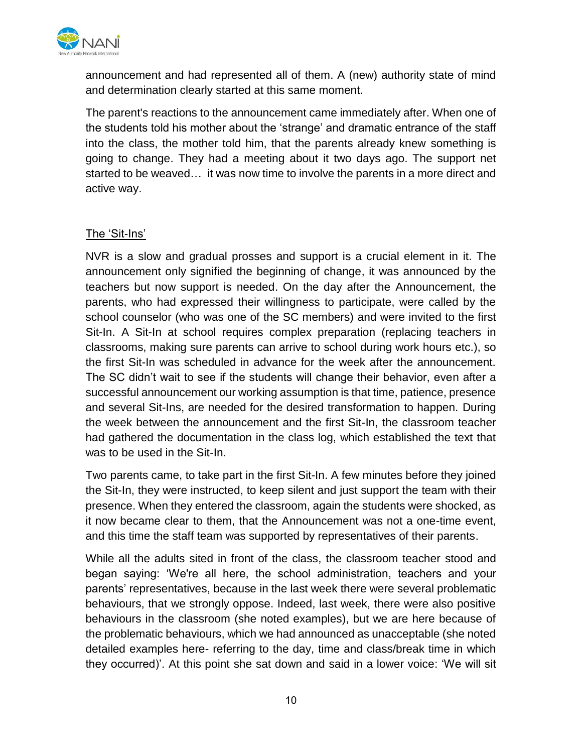

announcement and had represented all of them. A (new) authority state of mind and determination clearly started at this same moment.

The parent's reactions to the announcement came immediately after. When one of the students told his mother about the 'strange' and dramatic entrance of the staff into the class, the mother told him, that the parents already knew something is going to change. They had a meeting about it two days ago. The support net started to be weaved… it was now time to involve the parents in a more direct and active way.

## The 'Sit-Ins'

NVR is a slow and gradual prosses and support is a crucial element in it. The announcement only signified the beginning of change, it was announced by the teachers but now support is needed. On the day after the Announcement, the parents, who had expressed their willingness to participate, were called by the school counselor (who was one of the SC members) and were invited to the first Sit-In. A Sit-In at school requires complex preparation (replacing teachers in classrooms, making sure parents can arrive to school during work hours etc.), so the first Sit-In was scheduled in advance for the week after the announcement. The SC didn't wait to see if the students will change their behavior, even after a successful announcement our working assumption is that time, patience, presence and several Sit-Ins, are needed for the desired transformation to happen. During the week between the announcement and the first Sit-In, the classroom teacher had gathered the documentation in the class log, which established the text that was to be used in the Sit-In.

Two parents came, to take part in the first Sit-In. A few minutes before they joined the Sit-In, they were instructed, to keep silent and just support the team with their presence. When they entered the classroom, again the students were shocked, as it now became clear to them, that the Announcement was not a one-time event, and this time the staff team was supported by representatives of their parents.

While all the adults sited in front of the class, the classroom teacher stood and began saying: 'We're all here, the school administration, teachers and your parents' representatives, because in the last week there were several problematic behaviours, that we strongly oppose. Indeed, last week, there were also positive behaviours in the classroom (she noted examples), but we are here because of the problematic behaviours, which we had announced as unacceptable (she noted detailed examples here- referring to the day, time and class/break time in which they occurred)'. At this point she sat down and said in a lower voice: 'We will sit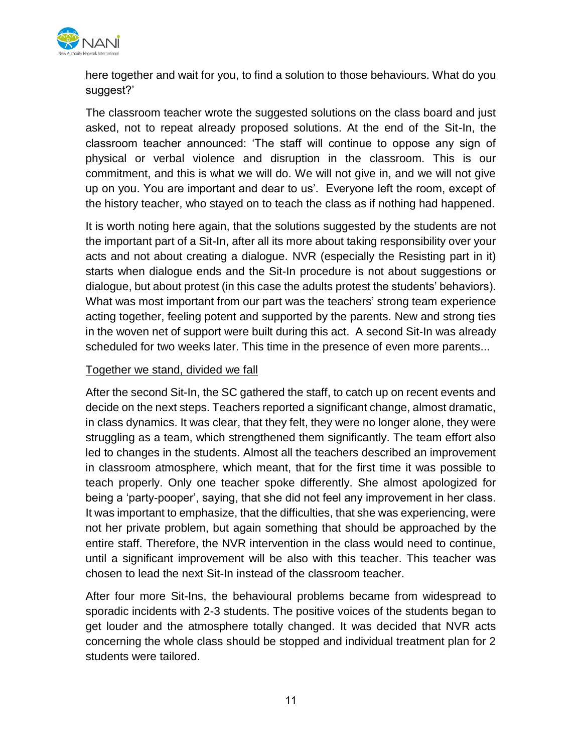

here together and wait for you, to find a solution to those behaviours. What do you suggest?'

The classroom teacher wrote the suggested solutions on the class board and just asked, not to repeat already proposed solutions. At the end of the Sit-In, the classroom teacher announced: 'The staff will continue to oppose any sign of physical or verbal violence and disruption in the classroom. This is our commitment, and this is what we will do. We will not give in, and we will not give up on you. You are important and dear to us'. Everyone left the room, except of the history teacher, who stayed on to teach the class as if nothing had happened.

It is worth noting here again, that the solutions suggested by the students are not the important part of a Sit-In, after all its more about taking responsibility over your acts and not about creating a dialogue. NVR (especially the Resisting part in it) starts when dialogue ends and the Sit-In procedure is not about suggestions or dialogue, but about protest (in this case the adults protest the students' behaviors). What was most important from our part was the teachers' strong team experience acting together, feeling potent and supported by the parents. New and strong ties in the woven net of support were built during this act. A second Sit-In was already scheduled for two weeks later. This time in the presence of even more parents...

## Together we stand, divided we fall

After the second Sit-In, the SC gathered the staff, to catch up on recent events and decide on the next steps. Teachers reported a significant change, almost dramatic, in class dynamics. It was clear, that they felt, they were no longer alone, they were struggling as a team, which strengthened them significantly. The team effort also led to changes in the students. Almost all the teachers described an improvement in classroom atmosphere, which meant, that for the first time it was possible to teach properly. Only one teacher spoke differently. She almost apologized for being a 'party-pooper', saying, that she did not feel any improvement in her class. It was important to emphasize, that the difficulties, that she was experiencing, were not her private problem, but again something that should be approached by the entire staff. Therefore, the NVR intervention in the class would need to continue, until a significant improvement will be also with this teacher. This teacher was chosen to lead the next Sit-In instead of the classroom teacher.

After four more Sit-Ins, the behavioural problems became from widespread to sporadic incidents with 2-3 students. The positive voices of the students began to get louder and the atmosphere totally changed. It was decided that NVR acts concerning the whole class should be stopped and individual treatment plan for 2 students were tailored.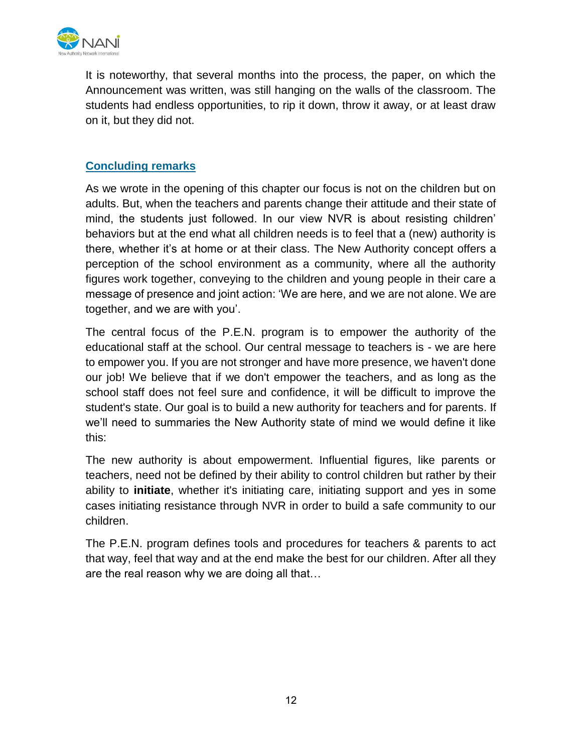

It is noteworthy, that several months into the process, the paper, on which the Announcement was written, was still hanging on the walls of the classroom. The students had endless opportunities, to rip it down, throw it away, or at least draw on it, but they did not.

## **Concluding remarks**

As we wrote in the opening of this chapter our focus is not on the children but on adults. But, when the teachers and parents change their attitude and their state of mind, the students just followed. In our view NVR is about resisting children' behaviors but at the end what all children needs is to feel that a (new) authority is there, whether it's at home or at their class. The New Authority concept offers a perception of the school environment as a community, where all the authority figures work together, conveying to the children and young people in their care a message of presence and joint action: 'We are here, and we are not alone. We are together, and we are with you'.

The central focus of the P.E.N. program is to empower the authority of the educational staff at the school. Our central message to teachers is - we are here to empower you. If you are not stronger and have more presence, we haven't done our job! We believe that if we don't empower the teachers, and as long as the school staff does not feel sure and confidence, it will be difficult to improve the student's state. Our goal is to build a new authority for teachers and for parents. If we'll need to summaries the New Authority state of mind we would define it like this:

The new authority is about empowerment. Influential figures, like parents or teachers, need not be defined by their ability to control children but rather by their ability to **initiate**, whether it's initiating care, initiating support and yes in some cases initiating resistance through NVR in order to build a safe community to our children.

The P.E.N. program defines tools and procedures for teachers & parents to act that way, feel that way and at the end make the best for our children. After all they are the real reason why we are doing all that…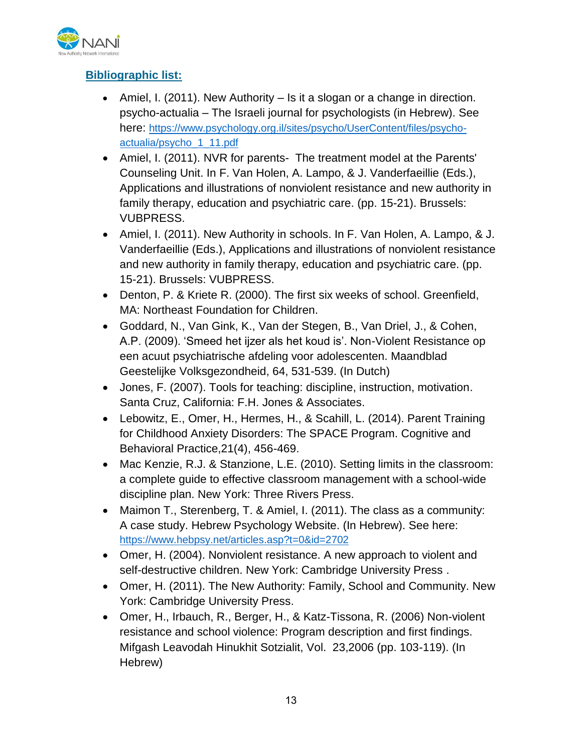

# **Bibliographic list:**

- Amiel, I. (2011). New Authority  $-$  Is it a slogan or a change in direction. psycho-actualia – The Israeli journal for psychologists (in Hebrew). See here: [https://www.psychology.org.il/sites/psycho/UserContent/files/psycho](https://www.psychology.org.il/sites/psycho/UserContent/files/psycho-actualia/psycho_1_11.pdf)[actualia/psycho\\_1\\_11.pdf](https://www.psychology.org.il/sites/psycho/UserContent/files/psycho-actualia/psycho_1_11.pdf)
- Amiel, I. (2011). NVR for parents- The treatment model at the Parents' Counseling Unit. In F. Van Holen, A. Lampo, & J. Vanderfaeillie (Eds.), Applications and illustrations of nonviolent resistance and new authority in family therapy, education and psychiatric care. (pp. 15-21). Brussels: VUBPRESS.
- Amiel, I. (2011). New Authority in schools. In F. Van Holen, A. Lampo, & J. Vanderfaeillie (Eds.), Applications and illustrations of nonviolent resistance and new authority in family therapy, education and psychiatric care. (pp. 15-21). Brussels: VUBPRESS.
- Denton, P. & Kriete R. (2000). The first six weeks of school. Greenfield, MA: Northeast Foundation for Children.
- Goddard, N., Van Gink, K., Van der Stegen, B., Van Driel, J., & Cohen, A.P. (2009). 'Smeed het ijzer als het koud is'. Non-Violent Resistance op een acuut psychiatrische afdeling voor adolescenten. Maandblad Geestelijke Volksgezondheid, 64, 531-539. (In Dutch)
- Jones, F. (2007). Tools for teaching: discipline, instruction, motivation. Santa Cruz, California: F.H. Jones & Associates.
- Lebowitz, E., Omer, H., Hermes, H., & Scahill, L. (2014). Parent Training for Childhood Anxiety Disorders: The SPACE Program. Cognitive and Behavioral Practice,21(4), 456-469.
- Mac Kenzie, R.J. & Stanzione, L.E. (2010). Setting limits in the classroom: a complete guide to effective classroom management with a school-wide discipline plan. New York: Three Rivers Press.
- Maimon T., Sterenberg, T. & Amiel, I. (2011). The class as a community: A case study. Hebrew Psychology Website. (In Hebrew). See here: <https://www.hebpsy.net/articles.asp?t=0&id=2702>
- Omer, H. (2004). Nonviolent resistance. A new approach to violent and self-destructive children. New York: Cambridge University Press .
- Omer, H. (2011). The New Authority: Family, School and Community. New York: Cambridge University Press.
- Omer, H., Irbauch, R., Berger, H., & Katz-Tissona, R. (2006) Non-violent resistance and school violence: Program description and first findings. Mifgash Leavodah Hinukhit Sotzialit, Vol. 23,2006 (pp. 103-119). (In Hebrew)